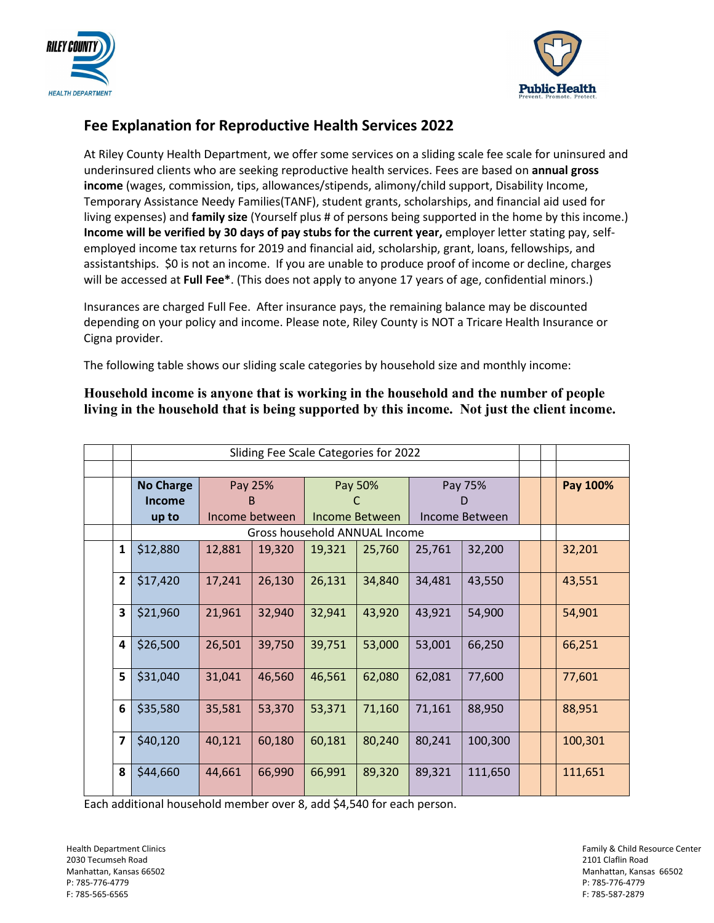



## **Fee Explanation for Reproductive Health Services 2022**

At Riley County Health Department, we offer some services on a sliding scale fee scale for uninsured and underinsured clients who are seeking reproductive health services. Fees are based on **annual gross income** (wages, commission, tips, allowances/stipends, alimony/child support, Disability Income, Temporary Assistance Needy Families(TANF), student grants, scholarships, and financial aid used for living expenses) and **family size** (Yourself plus # of persons being supported in the home by this income.) **Income will be verified by 30 days of pay stubs for the current year,** employer letter stating pay, selfemployed income tax returns for 2019 and financial aid, scholarship, grant, loans, fellowships, and assistantships. \$0 is not an income. If you are unable to produce proof of income or decline, charges will be accessed at **Full Fee\***. (This does not apply to anyone 17 years of age, confidential minors.)

Insurances are charged Full Fee. After insurance pays, the remaining balance may be discounted depending on your policy and income. Please note, Riley County is NOT a Tricare Health Insurance or Cigna provider.

The following table shows our sliding scale categories by household size and monthly income:

## **Household income is anyone that is working in the household and the number of people living in the household that is being supported by this income. Not just the client income.**

|                | Sliding Fee Scale Categories for 2022 |                                |        |                           |        |                           |         |  |  |          |
|----------------|---------------------------------------|--------------------------------|--------|---------------------------|--------|---------------------------|---------|--|--|----------|
|                |                                       |                                |        |                           |        |                           |         |  |  |          |
|                | <b>No Charge</b><br>Income<br>up to   | Pay 25%<br>В<br>Income between |        | Pay 50%<br>Income Between |        | Pay 75%<br>Income Between |         |  |  | Pay 100% |
|                |                                       |                                |        |                           |        |                           |         |  |  |          |
| $\mathbf{1}$   | \$12,880                              | 12,881                         | 19,320 | 19,321                    | 25,760 | 25,761                    | 32,200  |  |  | 32,201   |
| $\overline{2}$ | \$17,420                              | 17,241                         | 26,130 | 26,131                    | 34,840 | 34,481                    | 43,550  |  |  | 43,551   |
| 3              | \$21,960                              | 21,961                         | 32,940 | 32,941                    | 43,920 | 43,921                    | 54,900  |  |  | 54,901   |
| 4              | \$26,500                              | 26,501                         | 39,750 | 39,751                    | 53,000 | 53,001                    | 66,250  |  |  | 66,251   |
| 5              | \$31,040                              | 31,041                         | 46,560 | 46,561                    | 62,080 | 62,081                    | 77,600  |  |  | 77,601   |
| 6              | \$35,580                              | 35,581                         | 53,370 | 53,371                    | 71,160 | 71,161                    | 88,950  |  |  | 88,951   |
| $\overline{ }$ | \$40,120                              | 40,121                         | 60,180 | 60,181                    | 80,240 | 80,241                    | 100,300 |  |  | 100,301  |
| 8              | \$44,660                              | 44,661                         | 66,990 | 66,991                    | 89,320 | 89,321                    | 111,650 |  |  | 111,651  |

Each additional household member over 8, add \$4,540 for each person.